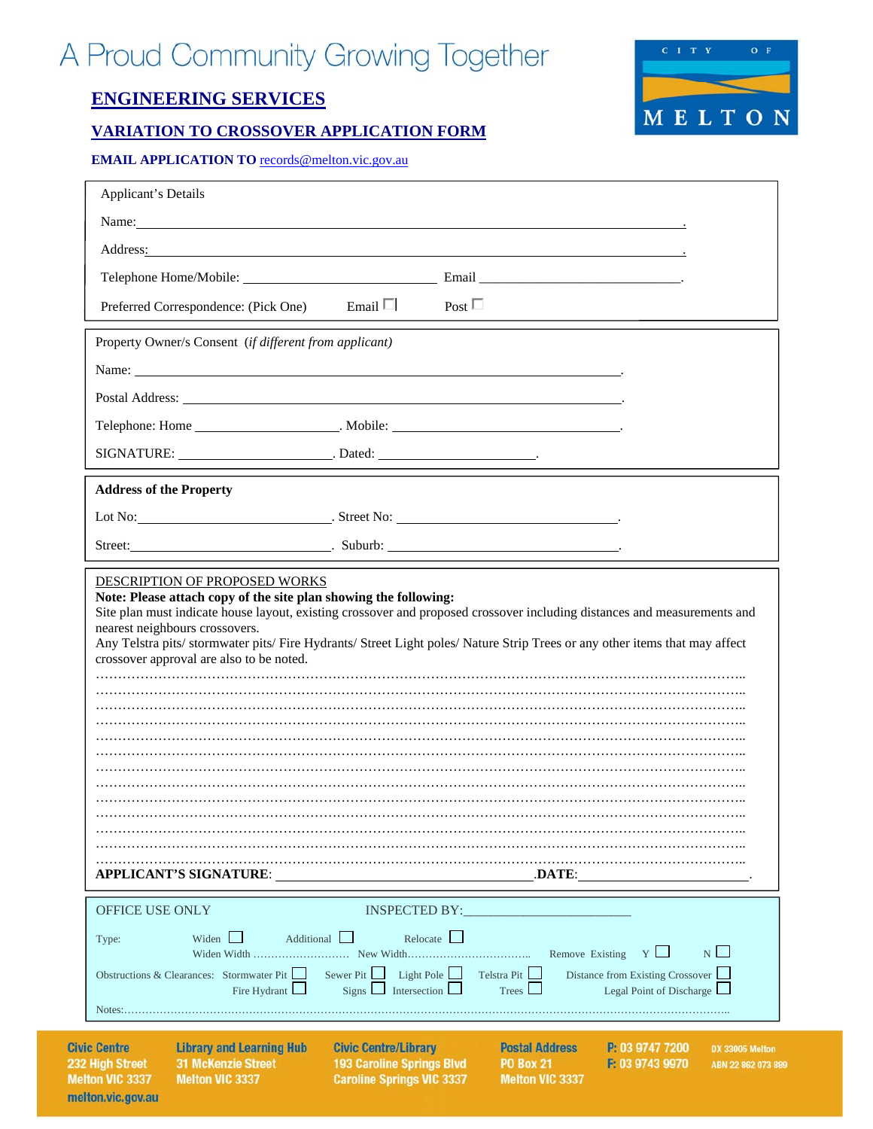# A Proud Community Growing Together

# **ENGINEERING SERVICES**

Ci 23 M

melton.vic.gov.au

# **VARIATION TO CROSSOVER APPLICATION FORM**



**EMAIL APPLICATION TO** records@melton.vic.gov.au

| <b>Applicant's Details</b>                                                                                                                                                                                                                                                   |                                                                                                     |                                                                     |                                                                                                      |
|------------------------------------------------------------------------------------------------------------------------------------------------------------------------------------------------------------------------------------------------------------------------------|-----------------------------------------------------------------------------------------------------|---------------------------------------------------------------------|------------------------------------------------------------------------------------------------------|
| Name: Name:                                                                                                                                                                                                                                                                  |                                                                                                     |                                                                     |                                                                                                      |
| Address: <u>Address:</u> Address: <b>Address:</b> Address: <b>Address:</b> Address: <b>Address:</b> Address: <b>Address:</b> Address: <b>Address:</b> Address: <b>Address:</b> Address: <b>Address:</b> Address: <b>Address: Address: Address: Address: Address: Address</b> |                                                                                                     |                                                                     |                                                                                                      |
|                                                                                                                                                                                                                                                                              |                                                                                                     |                                                                     |                                                                                                      |
|                                                                                                                                                                                                                                                                              |                                                                                                     |                                                                     |                                                                                                      |
| Preferred Correspondence: (Pick One) Email □                                                                                                                                                                                                                                 |                                                                                                     | Post $\Box$                                                         |                                                                                                      |
| Property Owner/s Consent (if different from applicant)                                                                                                                                                                                                                       |                                                                                                     |                                                                     |                                                                                                      |
|                                                                                                                                                                                                                                                                              |                                                                                                     |                                                                     |                                                                                                      |
| Postal Address: North Contract Contract Contract Contract Contract Contract Contract Contract Contract Contract Contract Contract Contract Contract Contract Contract Contract Contract Contract Contract Contract Contract Co                                               |                                                                                                     |                                                                     |                                                                                                      |
| Telephone: Home ______________________. Mobile: _________________________________                                                                                                                                                                                            |                                                                                                     |                                                                     |                                                                                                      |
|                                                                                                                                                                                                                                                                              |                                                                                                     |                                                                     |                                                                                                      |
| <b>Address of the Property</b>                                                                                                                                                                                                                                               |                                                                                                     |                                                                     |                                                                                                      |
|                                                                                                                                                                                                                                                                              |                                                                                                     |                                                                     |                                                                                                      |
| Street: Street: Street: Suburb: Suburb: Suburb: Street: Street: Street: Street: Street: Street: Street: Street                                                                                                                                                               |                                                                                                     |                                                                     |                                                                                                      |
| Any Telstra pits/stormwater pits/Fire Hydrants/Street Light poles/Nature Strip Trees or any other items that may affect<br>crossover approval are also to be noted.<br><b>APPLICANT'S SIGNATURE:</b>                                                                         |                                                                                                     | .DATE:                                                              |                                                                                                      |
|                                                                                                                                                                                                                                                                              |                                                                                                     |                                                                     |                                                                                                      |
| OFFICE USE ONLY<br>Widen L<br>Additional L<br>Type:<br>Obstructions & Clearances: Stormwater Pit<br>Fire Hydrant L                                                                                                                                                           | <b>INSPECTED BY:</b><br>Sewer Pit<br>$Signs$ Intersection                                           | Relocate<br>Light Pole $\Box$<br>Telstra Pit $\Box$<br>Trees        | $N \Box$<br>Remove Existing $Y \Box$<br>Distance from Existing Crossover<br>Legal Point of Discharge |
| <b>Library and Learning Hub</b><br>vic Centre<br><b>31 McKenzie Street</b><br>2 High Street<br>elton VIC 3337<br><b>Melton VIC 3337</b>                                                                                                                                      | <b>Civic Centre/Library</b><br><b>193 Caroline Springs Blvd</b><br><b>Caroline Springs VIC 3337</b> | <b>Postal Address</b><br><b>PO Box 21</b><br><b>Melton VIC 3337</b> | P: 03 9747 7200<br>DX 33005 Melton<br>F: 03 9743 9970<br>ABN 22 862 073 889                          |